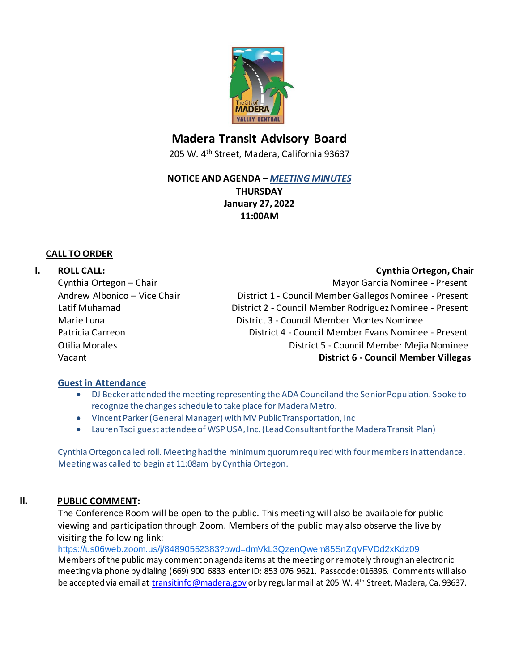

# **Madera Transit Advisory Board**

205 W. 4th Street, Madera, California 93637

#### **NOTICE AND AGENDA –** *MEETING MINUTES*

**THURSDAY January 27, 2022 11:00AM**

#### **CALL TO ORDER**

### **I. ROLL CALL: CALL: CALL: CALL: CALL: CALL: CALL: CALL: CALL: CALL: CALL: CALL: CALL: CALL: CALL: CALL: CALL: CALL: CALL: CALL: CALL: CALL: CALL: CALL: CALL: CALL: CAL**

Cynthia Ortegon – Chair Mayor Garcia Nominee - Present Andrew Albonico – Vice Chair District 1 - Council Member Gallegos Nominee - Present Latif Muhamad **District 2 - Council Member Rodriguez Nominee - Present** Marie Luna District 3 - Council Member Montes Nominee Patricia Carreon District 4 - Council Member Evans Nominee - Present Otilia Morales District 5 - Council Member Mejia Nominee Vacant **District 6 - Council Member Villegas**

#### **Guest in Attendance**

- DJ Becker attended the meeting representing the ADA Council and the Senior Population. Spoke to recognize the changes schedule to take place for Madera Metro.
- Vincent Parker (General Manager) with MV Public Transportation, Inc
- Lauren Tsoi guest attendee of WSP USA, Inc. (Lead Consultant for the Madera Transit Plan)

Cynthia Ortegon called roll. Meeting had the minimum quorumrequired with four members in attendance. Meeting was called to begin at 11:08am by Cynthia Ortegon.

## **II. PUBLIC COMMENT:**

The Conference Room will be open to the public. This meeting will also be available for public viewing and participation through Zoom. Members of the public may also observe the live by visiting the following link:

<https://us06web.zoom.us/j/84890552383?pwd=dmVkL3QzenQwem85SnZqVFVDd2xKdz09> Members of the public may comment on agenda items at the meeting or remotely through an electronic meeting via phone by dialing (669) 900 6833 enter ID: 853 076 9621. Passcode: 016396. Comments will also be accepted via email at [transitinfo@madera.gov](mailto:transitinfo@madera.gov) or by regular mail at 205 W. 4<sup>th</sup> Street, Madera, Ca. 93637.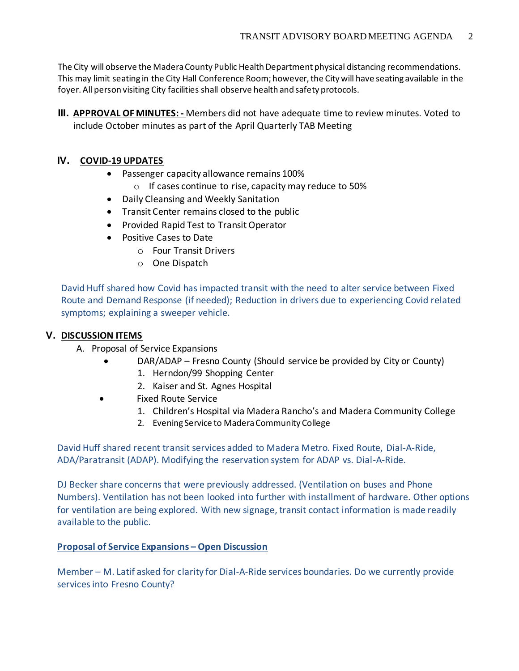The City will observe the Madera County Public Health Department physical distancing recommendations. This may limit seating in the City Hall Conference Room; however, the City will have seating available in the foyer. All person visiting City facilities shall observe health and safety protocols.

**III. APPROVAL OF MINUTES: -** Members did not have adequate time to review minutes. Voted to include October minutes as part of the April Quarterly TAB Meeting

## **IV. COVID-19 UPDATES**

- Passenger capacity allowance remains 100%
	- o If cases continue to rise, capacity may reduce to 50%
- Daily Cleansing and Weekly Sanitation
- Transit Center remains closed to the public
- Provided Rapid Test to Transit Operator
- Positive Cases to Date
	- o Four Transit Drivers
	- o One Dispatch

David Huff shared how Covid has impacted transit with the need to alter service between Fixed Route and Demand Response (if needed); Reduction in drivers due to experiencing Covid related symptoms; explaining a sweeper vehicle.

## **V. DISCUSSION ITEMS**

- A. Proposal of Service Expansions
	- DAR/ADAP Fresno County (Should service be provided by City or County)
		- 1. Herndon/99 Shopping Center
		- 2. Kaiser and St. Agnes Hospital
	- Fixed Route Service
		- 1. Children's Hospital via Madera Rancho's and Madera Community College
		- 2. Evening Service to Madera Community College

David Huff shared recent transit services added to Madera Metro. Fixed Route, Dial-A-Ride, ADA/Paratransit (ADAP). Modifying the reservation system for ADAP vs. Dial-A-Ride.

DJ Becker share concerns that were previously addressed. (Ventilation on buses and Phone Numbers). Ventilation has not been looked into further with installment of hardware. Other options for ventilation are being explored. With new signage, transit contact information is made readily available to the public.

## **Proposal of Service Expansions – Open Discussion**

Member – M. Latif asked for clarity for Dial-A-Ride services boundaries. Do we currently provide services into Fresno County?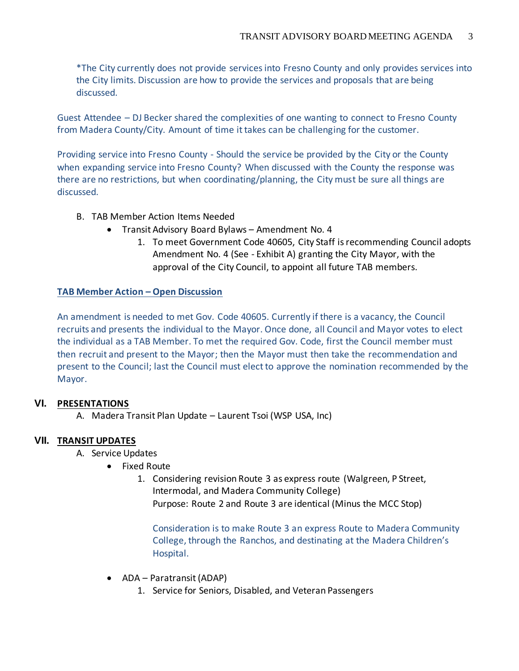\*The City currently does not provide services into Fresno County and only provides services into the City limits. Discussion are how to provide the services and proposals that are being discussed.

Guest Attendee – DJ Becker shared the complexities of one wanting to connect to Fresno County from Madera County/City. Amount of time it takes can be challenging for the customer.

Providing service into Fresno County - Should the service be provided by the City or the County when expanding service into Fresno County? When discussed with the County the response was there are no restrictions, but when coordinating/planning, the City must be sure all things are discussed.

- B. TAB Member Action Items Needed
	- Transit Advisory Board Bylaws Amendment No. 4
		- 1. To meet Government Code 40605, City Staff is recommending Council adopts Amendment No. 4 (See - Exhibit A) granting the City Mayor, with the approval of the City Council, to appoint all future TAB members.

### **TAB Member Action – Open Discussion**

An amendment is needed to met Gov. Code 40605. Currently if there is a vacancy, the Council recruits and presents the individual to the Mayor. Once done, all Council and Mayor votes to elect the individual as a TAB Member. To met the required Gov. Code, first the Council member must then recruit and present to the Mayor; then the Mayor must then take the recommendation and present to the Council; last the Council must elect to approve the nomination recommended by the Mayor.

## **VI. PRESENTATIONS**

A. Madera Transit Plan Update – Laurent Tsoi (WSP USA, Inc)

## **VII. TRANSIT UPDATES**

- A. Service Updates
	- Fixed Route
		- 1. Considering revision Route 3 as express route (Walgreen, P Street, Intermodal, and Madera Community College) Purpose: Route 2 and Route 3 are identical (Minus the MCC Stop)

Consideration is to make Route 3 an express Route to Madera Community College, through the Ranchos, and destinating at the Madera Children's Hospital.

- ADA Paratransit (ADAP)
	- 1. Service for Seniors, Disabled, and Veteran Passengers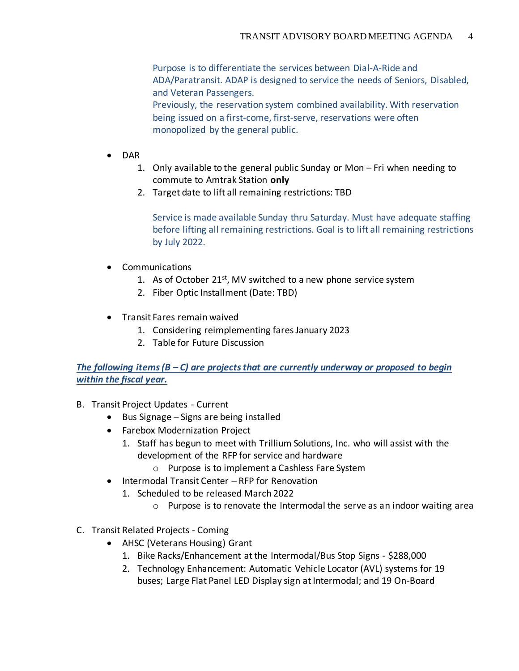Purpose is to differentiate the services between Dial-A-Ride and ADA/Paratransit. ADAP is designed to service the needs of Seniors, Disabled, and Veteran Passengers. Previously, the reservation system combined availability. With reservation

being issued on a first-come, first-serve, reservations were often monopolized by the general public.

- DAR
	- 1. Only available to the general public Sunday or Mon Fri when needing to commute to Amtrak Station **only**
	- 2. Target date to lift all remaining restrictions: TBD

Service is made available Sunday thru Saturday. Must have adequate staffing before lifting all remaining restrictions. Goal is to lift all remaining restrictions by July 2022.

- Communications
	- 1. As of October  $21^{st}$ , MV switched to a new phone service system
	- 2. Fiber Optic Installment (Date: TBD)
- Transit Fares remain waived
	- 1. Considering reimplementing fares January 2023
	- 2. Table for Future Discussion

*The following items (B – C) are projects that are currently underway or proposed to begin within the fiscal year.* 

- B. Transit Project Updates Current
	- Bus Signage Signs are being installed
	- Farebox Modernization Project
		- 1. Staff has begun to meet with Trillium Solutions, Inc. who will assist with the development of the RFP for service and hardware
			- o Purpose is to implement a Cashless Fare System
	- Intermodal Transit Center RFP for Renovation
		- 1. Scheduled to be released March 2022
			- $\circ$  Purpose is to renovate the Intermodal the serve as an indoor waiting area
- C. Transit Related Projects Coming
	- AHSC (Veterans Housing) Grant
		- 1. Bike Racks/Enhancement at the Intermodal/Bus Stop Signs \$288,000
		- 2. Technology Enhancement: Automatic Vehicle Locator (AVL) systems for 19 buses; Large Flat Panel LED Display sign at Intermodal; and 19 On-Board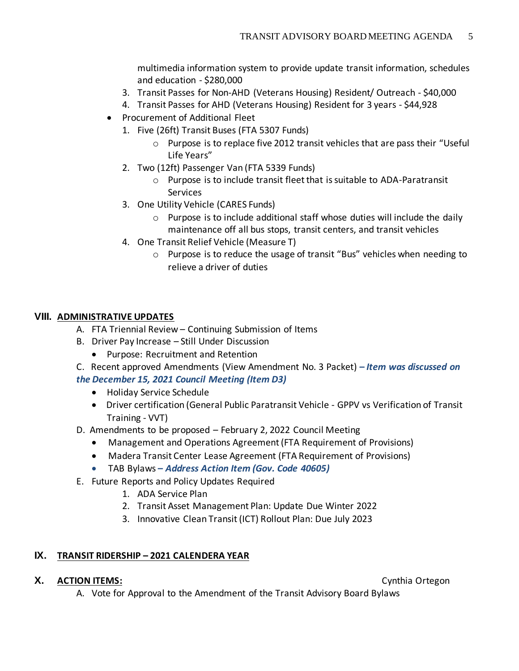multimedia information system to provide update transit information, schedules and education - \$280,000

- 3. Transit Passes for Non-AHD (Veterans Housing) Resident/ Outreach \$40,000
- 4. Transit Passes for AHD (Veterans Housing) Resident for 3 years \$44,928
- Procurement of Additional Fleet
	- 1. Five (26ft) Transit Buses (FTA 5307 Funds)
		- $\circ$  Purpose is to replace five 2012 transit vehicles that are pass their "Useful" Life Years"
	- 2. Two (12ft) Passenger Van (FTA 5339 Funds)
		- o Purpose is to include transit fleet that is suitable to ADA-Paratransit Services
	- 3. One Utility Vehicle (CARES Funds)
		- $\circ$  Purpose is to include additional staff whose duties will include the daily maintenance off all bus stops, transit centers, and transit vehicles
	- 4. One Transit Relief Vehicle (Measure T)
		- o Purpose is to reduce the usage of transit "Bus" vehicles when needing to relieve a driver of duties

## **VIII. ADMINISTRATIVE UPDATES**

- A. FTA Triennial Review Continuing Submission of Items
- B. Driver Pay Increase Still Under Discussion
	- Purpose: Recruitment and Retention
- C. Recent approved Amendments (View Amendment No. 3 Packet) **–** *Item was discussed on the December 15, 2021 Council Meeting (Item D3)*
	- Holiday Service Schedule
	- Driver certification (General Public Paratransit Vehicle GPPV vs Verification of Transit Training - VVT)
- D. Amendments to be proposed February 2, 2022 Council Meeting
	- Management and Operations Agreement (FTA Requirement of Provisions)
	- Madera Transit Center Lease Agreement (FTA Requirement of Provisions)
	- TAB Bylaws *– Address Action Item (Gov. Code 40605)*
- E. Future Reports and Policy Updates Required
	- 1. ADA Service Plan
	- 2. Transit Asset Management Plan: Update Due Winter 2022
	- 3. Innovative Clean Transit (ICT) Rollout Plan: Due July 2023

## **IX. TRANSIT RIDERSHIP – 2021 CALENDERA YEAR**

## **X. ACTION ITEMS:** Cynthia Ortegon

A. Vote for Approval to the Amendment of the Transit Advisory Board Bylaws